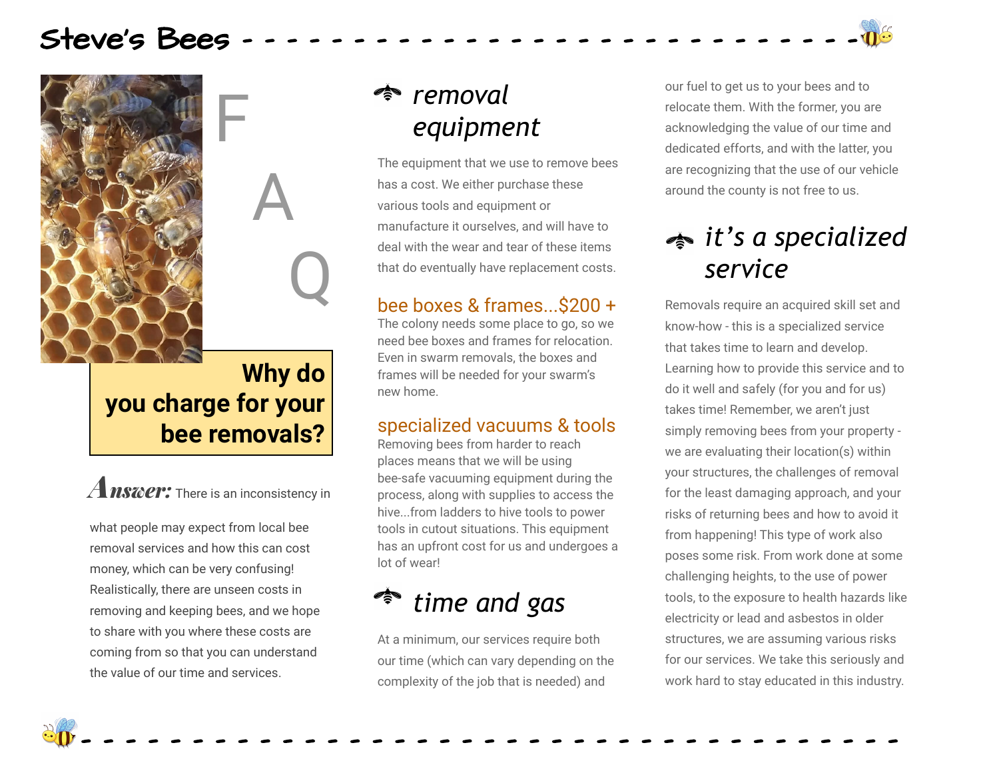## Steve's Bees



### **Why do you charge for your bee removals?**

F

A

Q

A*nswer:* There is an inconsistency in

what people may expect from local bee removal services and how this can cost money, which can be very confusing! Realistically, there are unseen costs in removing and keeping bees, and we hope to share with you where these costs are coming from so that you can understand the value of our time and services.

## *removal equipment*

The equipment that we use to remove bees has a cost. We either purchase these various tools and equipment or manufacture it ourselves, and will have to deal with the wear and tear of these items that do eventually have replacement costs.

#### bee boxes & frames...\$200 +

The colony needs some place to go, so we need bee boxes and frames for relocation. Even in swarm removals, the boxes and frames will be needed for your swarm's new home.

#### specialized vacuums & tools

Removing bees from harder to reach places means that we will be using bee-safe vacuuming equipment during the process, along with supplies to access the hive...from ladders to hive tools to power tools in cutout situations. This equipment has an upfront cost for us and undergoes a lot of wear!

# *time and gas*

At a minimum, our services require both our time (which can vary depending on the complexity of the job that is needed) and

- - - - - - - - - - - - - - - - - - - - - - - - - - - - - - - - - - - - -

our fuel to get us to your bees and to relocate them. With the former, you are acknowledging the value of our time and dedicated efforts, and with the latter, you are recognizing that the use of our vehicle around the county is not free to us.

# *it's a specialized service*

Removals require an acquired skill set and know-how - this is a specialized service that takes time to learn and develop. Learning how to provide this service and to do it well and safely (for you and for us) takes time! Remember, we aren't just simply removing bees from your property we are evaluating their location(s) within your structures, the challenges of removal for the least damaging approach, and your risks of returning bees and how to avoid it from happening! This type of work also poses some risk. From work done at some challenging heights, to the use of power tools, to the exposure to health hazards like electricity or lead and asbestos in older structures, we are assuming various risks for our services. We take this seriously and work hard to stay educated in this industry.